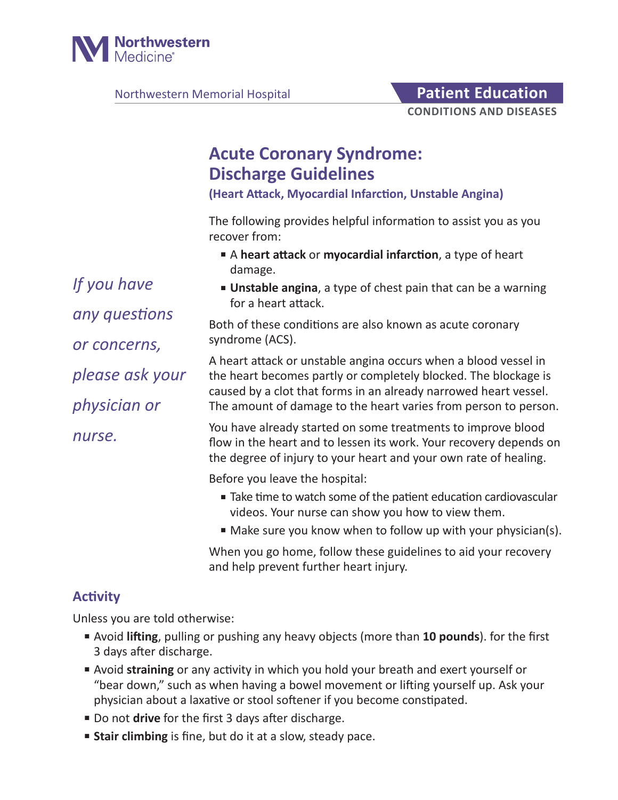

Northwestern Memorial Hospital **Patient Education** 

# **Acute Coronary Syndrome: Discharge Guidelines**

**(Heart Attack, Myocardial Infarction, Unstable Angina)**

The following provides helpful information to assist you as you recover from:

- A **heart attack** or **myocardial infarction**, a type of heart damage.
- **Unstable angina**, a type of chest pain that can be a warning for a heart attack.

Both of these conditions are also known as acute coronary syndrome (ACS).

A heart attack or unstable angina occurs when a blood vessel in the heart becomes partly or completely blocked. The blockage is caused by a clot that forms in an already narrowed heart vessel. The amount of damage to the heart varies from person to person.

You have already started on some treatments to improve blood flow in the heart and to lessen its work. Your recovery depends on the degree of injury to your heart and your own rate of healing.

Before you leave the hospital:

- Take time to watch some of the patient education cardiovascular videos. Your nurse can show you how to view them.
- Make sure you know when to follow up with your physician(s).

When you go home, follow these guidelines to aid your recovery and help prevent further heart injury.

# **Activity**

Unless you are told otherwise:

- Avoid **lifting**, pulling or pushing any heavy objects (more than **10 pounds**). for the first 3 days after discharge.
- Avoid **straining** or any activity in which you hold your breath and exert yourself or "bear down," such as when having a bowel movement or lifting yourself up. Ask your physician about a laxative or stool softener if you become constipated.
- Do not **drive** for the first 3 days after discharge.
- **Stair climbing** is fine, but do it at a slow, steady pace.

*If you have any questions or concerns, please ask your physician or nurse.*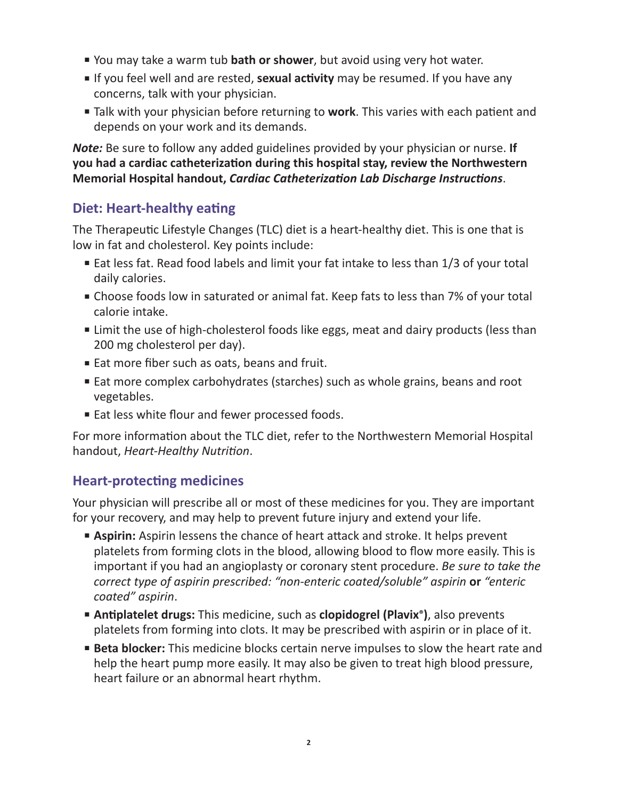- You may take a warm tub **bath or shower**, but avoid using very hot water.
- If you feel well and are rested, **sexual activity** may be resumed. If you have any concerns, talk with your physician.
- Talk with your physician before returning to **work**. This varies with each patient and depends on your work and its demands.

*Note:* Be sure to follow any added guidelines provided by your physician or nurse. **If you had a cardiac catheterization during this hospital stay, review the Northwestern Memorial Hospital handout,** *Cardiac Catheterization Lab Discharge Instructions*.

# **Diet: Heart-healthy eating**

The Therapeutic Lifestyle Changes (TLC) diet is a heart-healthy diet. This is one that is low in fat and cholesterol. Key points include:

- Eat less fat. Read food labels and limit your fat intake to less than 1/3 of your total daily calories.
- Choose foods low in saturated or animal fat. Keep fats to less than 7% of your total calorie intake.
- Limit the use of high-cholesterol foods like eggs, meat and dairy products (less than 200 mg cholesterol per day).
- Eat more fiber such as oats, beans and fruit.
- Eat more complex carbohydrates (starches) such as whole grains, beans and root vegetables.
- Eat less white flour and fewer processed foods.

For more information about the TLC diet, refer to the Northwestern Memorial Hospital handout, *Heart-Healthy Nutrition*.

# **Heart-protecting medicines**

Your physician will prescribe all or most of these medicines for you. They are important for your recovery, and may help to prevent future injury and extend your life.

- **Aspirin:** Aspirin lessens the chance of heart attack and stroke. It helps prevent platelets from forming clots in the blood, allowing blood to flow more easily. This is important if you had an angioplasty or coronary stent procedure. *Be sure to take the correct type of aspirin prescribed: "non-enteric coated/soluble" aspirin* **or** *"enteric coated" aspirin*.
- **Antiplatelet drugs:** This medicine, such as **clopidogrel (Plavix®)**, also prevents platelets from forming into clots. It may be prescribed with aspirin or in place of it.
- **Beta blocker:** This medicine blocks certain nerve impulses to slow the heart rate and help the heart pump more easily. It may also be given to treat high blood pressure, heart failure or an abnormal heart rhythm.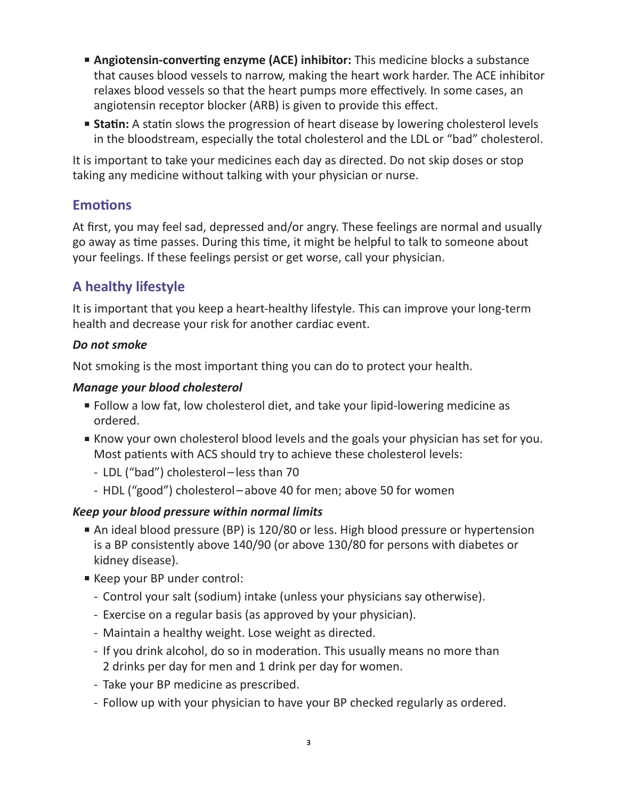- **Angiotensin-converting enzyme (ACE) inhibitor:** This medicine blocks a substance that causes blood vessels to narrow, making the heart work harder. The ACE inhibitor relaxes blood vessels so that the heart pumps more effectively. In some cases, an angiotensin receptor blocker (ARB) is given to provide this effect.
- **Statin:** A statin slows the progression of heart disease by lowering cholesterol levels in the bloodstream, especially the total cholesterol and the LDL or "bad" cholesterol.

It is important to take your medicines each day as directed. Do not skip doses or stop taking any medicine without talking with your physician or nurse.

# **Emotions**

At first, you may feel sad, depressed and/or angry. These feelings are normal and usually go away as time passes. During this time, it might be helpful to talk to someone about your feelings. If these feelings persist or get worse, call your physician.

# **A healthy lifestyle**

It is important that you keep a heart-healthy lifestyle. This can improve your long-term health and decrease your risk for another cardiac event.

#### *Do not smoke*

Not smoking is the most important thing you can do to protect your health.

### *Manage your blood cholesterol*

- Follow a low fat, low cholesterol diet, and take your lipid-lowering medicine as ordered.
- Know your own cholesterol blood levels and the goals your physician has set for you. Most patients with ACS should try to achieve these cholesterol levels:
	- LDL ("bad") cholesterol less than 70
	- HDL ("good") cholesterol above 40 for men; above 50 for women

### *Keep your blood pressure within normal limits*

- An ideal blood pressure (BP) is 120/80 or less. High blood pressure or hypertension is a BP consistently above 140/90 (or above 130/80 for persons with diabetes or kidney disease).
- Keep your BP under control:
	- Control your salt (sodium) intake (unless your physicians say otherwise).
	- Exercise on a regular basis (as approved by your physician).
	- Maintain a healthy weight. Lose weight as directed.
	- If you drink alcohol, do so in moderation. This usually means no more than 2 drinks per day for men and 1 drink per day for women.
	- Take your BP medicine as prescribed.
	- Follow up with your physician to have your BP checked regularly as ordered.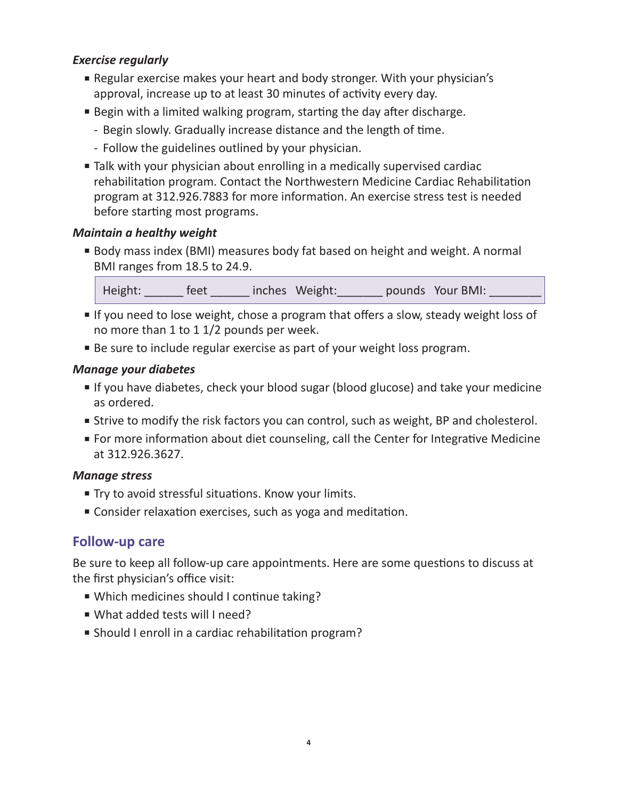### *Exercise regularly*

- Regular exercise makes your heart and body stronger. With your physician's approval, increase up to at least 30 minutes of activity every day.
- Begin with a limited walking program, starting the day after discharge.
	- Begin slowly. Gradually increase distance and the length of time.
	- Follow the guidelines outlined by your physician.
- Talk with your physician about enrolling in a medically supervised cardiac rehabilitation program. Contact the Northwestern Medicine Cardiac Rehabilitation program at 312.926.7883 for more information. An exercise stress test is needed before starting most programs.

### *Maintain a healthy weight*

■ Body mass index (BMI) measures body fat based on height and weight. A normal BMI ranges from 18.5 to 24.9.

Height: \_\_\_\_\_\_ feet \_\_\_\_\_\_ inches Weight: \_\_\_\_\_\_ pounds Your BMI: \_\_\_

- If you need to lose weight, chose a program that offers a slow, steady weight loss of no more than 1 to 1 1/2 pounds per week.
- Be sure to include regular exercise as part of your weight loss program.

### *Manage your diabetes*

- If you have diabetes, check your blood sugar (blood glucose) and take your medicine as ordered.
- Strive to modify the risk factors you can control, such as weight, BP and cholesterol.
- For more information about diet counseling, call the Center for Integrative Medicine at 312.926.3627.

### *Manage stress*

- Try to avoid stressful situations. Know your limits.
- Consider relaxation exercises, such as yoga and meditation.

# **Follow-up care**

Be sure to keep all follow-up care appointments. Here are some questions to discuss at the first physician's office visit:

- Which medicines should I continue taking?
- What added tests will I need?
- Should I enroll in a cardiac rehabilitation program?